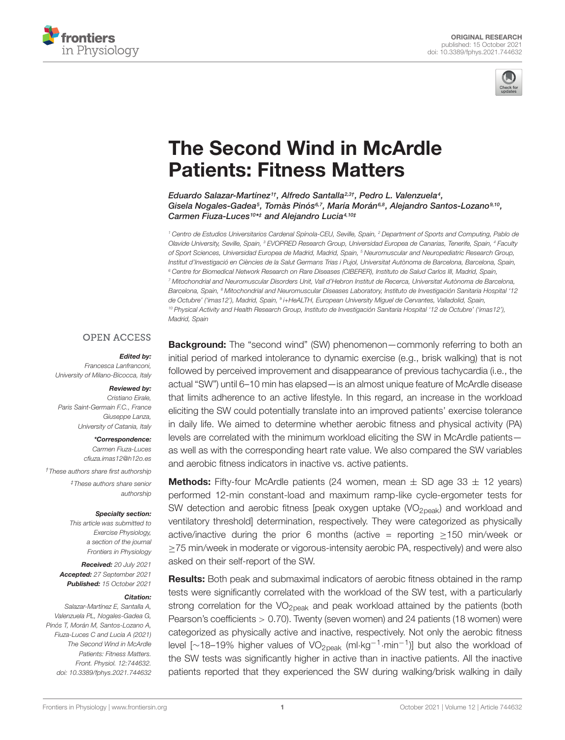



# [The Second Wind in McArdle](https://www.frontiersin.org/articles/10.3389/fphys.2021.744632/full) Patients: Fitness Matters

Eduardo Salazar-Martínez††, Alfredo Santalla<sup>2,3†</sup>, Pedro L. Valenzuela<sup>4</sup>, Gisela Nogales-Gadea5, Tomàs Pinós67, María Morán68, Alejandro Santos-Lozano9,10, Carmen Fiuza-Luces<sup>10\*‡</sup> and Alejandro Lucia4,10‡

<sup>1</sup> Centro de Estudios Universitarios Cardenal Spínola-CEU, Seville, Spain, <sup>2</sup> Department of Sports and Computing, Pablo de Olavide University, Seville, Spain, <sup>3</sup> EVOPRED Research Group, Universidad Europea de Canarias, Tenerife, Spain, <sup>4</sup> Faculty of Sport Sciences, Universidad Europea de Madrid, Madrid, Spain, <sup>5</sup> Neuromuscular and Neuropediatric Research Group, Institut d'Investigació en Ciències de la Salut Germans Trias i Pujol, Universitat Autònoma de Barcelona, Barcelona, Spain, <sup>6</sup> Centre for Biomedical Network Research on Rare Diseases (CIBERER), Instituto de Salud Carlos III, Madrid, Spain, <sup>7</sup> Mitochondrial and Neuromuscular Disorders Unit, Vall d'Hebron Institut de Recerca, Universitat Autònoma de Barcelona, Barcelona, Spain, <sup>8</sup> Mitochondrial and Neuromuscular Diseases Laboratory, Instituto de Investigación Sanitaria Hospital '12 de Octubre' ('imas12'), Madrid, Spain, <sup>9</sup> i+HeALTH, European University Miguel de Cervantes, Valladolid, Spain, <sup>10</sup> Physical Activity and Health Research Group, Instituto de Investigación Sanitaria Hospital '12 de Octubre' ('imas12'), Madrid, Spain

### **OPEN ACCESS**

#### Edited by:

Francesca Lanfranconi, University of Milano-Bicocca, Italy

#### Reviewed by:

Cristiano Eirale, Paris Saint-Germain F.C., France Giuseppe Lanza, University of Catania, Italy

#### \*Correspondence:

Carmen Fiuza-Luces cfiuza.imas12@h12o.es †These authors share first authorship ‡These authors share senior authorship

#### Specialty section:

This article was submitted to Exercise Physiology, a section of the journal Frontiers in Physiology

Received: 20 July 2021 Accepted: 27 September 2021 Published: 15 October 2021

#### Citation:

Salazar-Martínez E, Santalla A, Valenzuela PL, Nogales-Gadea G, Pinós T, Morán M, Santos-Lozano A, Fiuza-Luces C and Lucia A (2021) The Second Wind in McArdle Patients: Fitness Matters. Front. Physiol. 12:744632. doi: [10.3389/fphys.2021.744632](https://doi.org/10.3389/fphys.2021.744632)

**Background:** The "second wind" (SW) phenomenon—commonly referring to both an initial period of marked intolerance to dynamic exercise (e.g., brisk walking) that is not followed by perceived improvement and disappearance of previous tachycardia (i.e., the actual "SW") until 6–10 min has elapsed—is an almost unique feature of McArdle disease that limits adherence to an active lifestyle. In this regard, an increase in the workload eliciting the SW could potentially translate into an improved patients' exercise tolerance in daily life. We aimed to determine whether aerobic fitness and physical activity (PA) levels are correlated with the minimum workload eliciting the SW in McArdle patients as well as with the corresponding heart rate value. We also compared the SW variables and aerobic fitness indicators in inactive vs. active patients.

**Methods:** Fifty-four McArdle patients (24 women, mean  $\pm$  SD age 33  $\pm$  12 years) performed 12-min constant-load and maximum ramp-like cycle-ergometer tests for SW detection and aerobic fitness [peak oxygen uptake (VO<sub>2peak</sub>) and workload and ventilatory threshold] determination, respectively. They were categorized as physically active/inactive during the prior 6 months (active = reporting  $\geq$ 150 min/week or ≥75 min/week in moderate or vigorous-intensity aerobic PA, respectively) and were also asked on their self-report of the SW.

**Results:** Both peak and submaximal indicators of aerobic fitness obtained in the ramp tests were significantly correlated with the workload of the SW test, with a particularly strong correlation for the  $VO<sub>2peak</sub>$  and peak workload attained by the patients (both Pearson's coefficients > 0.70). Twenty (seven women) and 24 patients (18 women) were categorized as physically active and inactive, respectively. Not only the aerobic fitness level [~18–19% higher values of VO<sub>2peak</sub> (ml⋅kg<sup>-1</sup>⋅min<sup>-1</sup>)] but also the workload of the SW tests was significantly higher in active than in inactive patients. All the inactive patients reported that they experienced the SW during walking/brisk walking in daily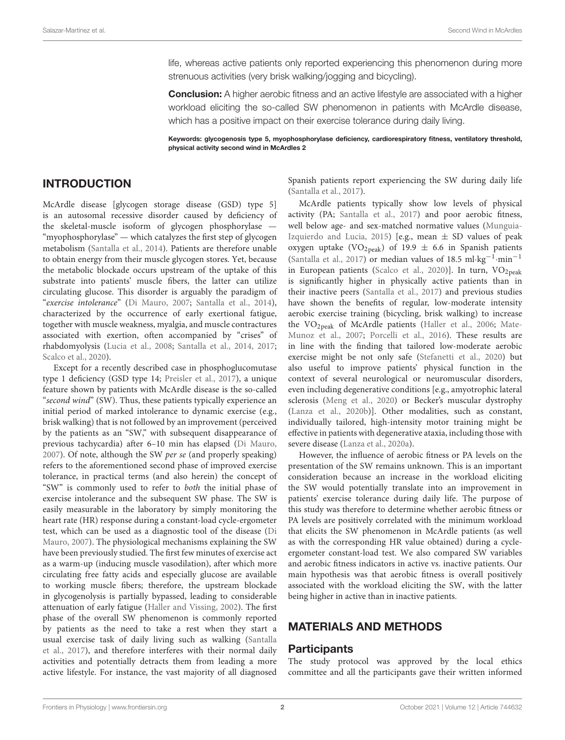life, whereas active patients only reported experiencing this phenomenon during more strenuous activities (very brisk walking/jogging and bicycling).

**Conclusion:** A higher aerobic fitness and an active lifestyle are associated with a higher workload eliciting the so-called SW phenomenon in patients with McArdle disease, which has a positive impact on their exercise tolerance during daily living.

Keywords: glycogenosis type 5, myophosphorylase deficiency, cardiorespiratory fitness, ventilatory threshold, physical activity second wind in McArdles 2

## INTRODUCTION

McArdle disease [glycogen storage disease (GSD) type 5] is an autosomal recessive disorder caused by deficiency of the skeletal-muscle isoform of glycogen phosphorylase — "myophosphorylase" — which catalyzes the first step of glycogen metabolism [\(Santalla et al.,](#page-6-0) [2014\)](#page-6-0). Patients are therefore unable to obtain energy from their muscle glycogen stores. Yet, because the metabolic blockade occurs upstream of the uptake of this substrate into patients' muscle fibers, the latter can utilize circulating glucose. This disorder is arguably the paradigm of "exercise intolerance" [\(Di Mauro,](#page-6-1) [2007;](#page-6-1) [Santalla et al.,](#page-6-0) [2014\)](#page-6-0), characterized by the occurrence of early exertional fatigue, together with muscle weakness, myalgia, and muscle contractures associated with exertion, often accompanied by "crises" of rhabdomyolysis [\(Lucia et al.,](#page-6-2) [2008;](#page-6-2) [Santalla et al.,](#page-6-0) [2014,](#page-6-0) [2017;](#page-6-3) [Scalco et al.,](#page-6-4) [2020\)](#page-6-4).

Except for a recently described case in phosphoglucomutase type 1 deficiency (GSD type 14; [Preisler et al.,](#page-6-5) [2017\)](#page-6-5), a unique feature shown by patients with McArdle disease is the so-called "second wind" (SW). Thus, these patients typically experience an initial period of marked intolerance to dynamic exercise (e.g., brisk walking) that is not followed by an improvement (perceived by the patients as an "SW," with subsequent disappearance of previous tachycardia) after 6–10 min has elapsed [\(Di Mauro,](#page-6-1) [2007\)](#page-6-1). Of note, although the SW per se (and properly speaking) refers to the aforementioned second phase of improved exercise tolerance, in practical terms (and also herein) the concept of "SW" is commonly used to refer to both the initial phase of exercise intolerance and the subsequent SW phase. The SW is easily measurable in the laboratory by simply monitoring the heart rate (HR) response during a constant-load cycle-ergometer test, which can be used as a diagnostic tool of the disease [\(Di](#page-6-1) [Mauro,](#page-6-1) [2007\)](#page-6-1). The physiological mechanisms explaining the SW have been previously studied. The first few minutes of exercise act as a warm-up (inducing muscle vasodilation), after which more circulating free fatty acids and especially glucose are available to working muscle fibers; therefore, the upstream blockade in glycogenolysis is partially bypassed, leading to considerable attenuation of early fatigue [\(Haller and Vissing,](#page-6-6) [2002\)](#page-6-6). The first phase of the overall SW phenomenon is commonly reported by patients as the need to take a rest when they start a usual exercise task of daily living such as walking [\(Santalla](#page-6-3) [et al.,](#page-6-3) [2017\)](#page-6-3), and therefore interferes with their normal daily activities and potentially detracts them from leading a more active lifestyle. For instance, the vast majority of all diagnosed

Spanish patients report experiencing the SW during daily life [\(Santalla et al.,](#page-6-3) [2017\)](#page-6-3).

McArdle patients typically show low levels of physical activity (PA; [Santalla et al.,](#page-6-3) [2017\)](#page-6-3) and poor aerobic fitness, well below age- and sex-matched normative values [\(Munguia-](#page-6-7)[Izquierdo and Lucia,](#page-6-7) [2015\)](#page-6-7) [e.g., mean  $\pm$  SD values of peak oxygen uptake (VO<sub>2peak</sub>) of 19.9  $\pm$  6.6 in Spanish patients [\(Santalla et al.,](#page-6-3) [2017\)](#page-6-3) or median values of 18.5 ml·kg−<sup>1</sup> ·min−<sup>1</sup> in European patients [\(Scalco et al.,](#page-6-4) [2020\)](#page-6-4)]. In turn,  $VO<sub>2peak</sub>$ is significantly higher in physically active patients than in their inactive peers [\(Santalla et al.,](#page-6-3) [2017\)](#page-6-3) and previous studies have shown the benefits of regular, low-moderate intensity aerobic exercise training (bicycling, brisk walking) to increase the VO2peak of McArdle patients [\(Haller et al.,](#page-6-8) [2006;](#page-6-8) [Mate-](#page-6-9)[Munoz et al.,](#page-6-9) [2007;](#page-6-9) [Porcelli et al.,](#page-6-10) [2016\)](#page-6-10). These results are in line with the finding that tailored low-moderate aerobic exercise might be not only safe [\(Stefanetti et al.,](#page-6-11) [2020\)](#page-6-11) but also useful to improve patients' physical function in the context of several neurological or neuromuscular disorders, even including degenerative conditions [e.g., amyotrophic lateral sclerosis [\(Meng et al.,](#page-6-12) [2020\)](#page-6-12) or Becker's muscular dystrophy [\(Lanza et al.,](#page-6-13) [2020b\)](#page-6-13)]. Other modalities, such as constant, individually tailored, high-intensity motor training might be effective in patients with degenerative ataxia, including those with severe disease [\(Lanza et al.,](#page-6-14) [2020a\)](#page-6-14).

However, the influence of aerobic fitness or PA levels on the presentation of the SW remains unknown. This is an important consideration because an increase in the workload eliciting the SW would potentially translate into an improvement in patients' exercise tolerance during daily life. The purpose of this study was therefore to determine whether aerobic fitness or PA levels are positively correlated with the minimum workload that elicits the SW phenomenon in McArdle patients (as well as with the corresponding HR value obtained) during a cycleergometer constant-load test. We also compared SW variables and aerobic fitness indicators in active vs. inactive patients. Our main hypothesis was that aerobic fitness is overall positively associated with the workload eliciting the SW, with the latter being higher in active than in inactive patients.

## MATERIALS AND METHODS

#### **Participants**

The study protocol was approved by the local ethics committee and all the participants gave their written informed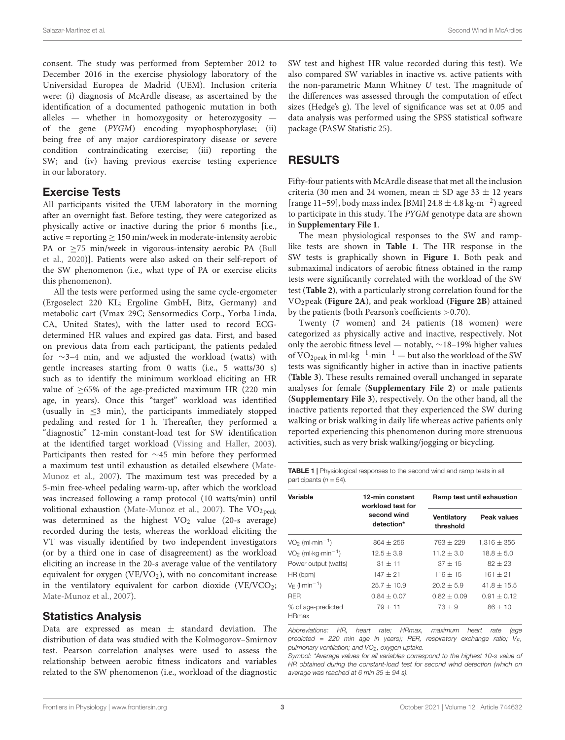consent. The study was performed from September 2012 to December 2016 in the exercise physiology laboratory of the Universidad Europea de Madrid (UEM). Inclusion criteria were: (i) diagnosis of McArdle disease, as ascertained by the identification of a documented pathogenic mutation in both alleles — whether in homozygosity or heterozygosity of the gene (PYGM) encoding myophosphorylase; (ii) being free of any major cardiorespiratory disease or severe condition contraindicating exercise; (iii) reporting the SW; and (iv) having previous exercise testing experience in our laboratory.

## Exercise Tests

All participants visited the UEM laboratory in the morning after an overnight fast. Before testing, they were categorized as physically active or inactive during the prior 6 months [i.e.,  $active = reporting \geq 150 min/week in moderate-intensity aerobic$ PA or ≥75 min/week in vigorous-intensity aerobic PA [\(Bull](#page-6-15) [et al.,](#page-6-15) [2020\)](#page-6-15)]. Patients were also asked on their self-report of the SW phenomenon (i.e., what type of PA or exercise elicits this phenomenon).

All the tests were performed using the same cycle-ergometer (Ergoselect 220 KL; Ergoline GmbH, Bitz, Germany) and metabolic cart (Vmax 29C; Sensormedics Corp., Yorba Linda, CA, United States), with the latter used to record ECGdetermined HR values and expired gas data. First, and based on previous data from each participant, the patients pedaled for ∼3–4 min, and we adjusted the workload (watts) with gentle increases starting from 0 watts (i.e., 5 watts/30 s) such as to identify the minimum workload eliciting an HR value of ≥65% of the age-predicted maximum HR (220 min age, in years). Once this "target" workload was identified (usually in  $\leq$ 3 min), the participants immediately stopped pedaling and rested for 1 h. Thereafter, they performed a "diagnostic" 12-min constant-load test for SW identification at the identified target workload [\(Vissing and Haller,](#page-6-16) [2003\)](#page-6-16). Participants then rested for ∼45 min before they performed a maximum test until exhaustion as detailed elsewhere [\(Mate-](#page-6-9)[Munoz et al.,](#page-6-9) [2007\)](#page-6-9). The maximum test was preceded by a 5-min free-wheel pedaling warm-up, after which the workload was increased following a ramp protocol (10 watts/min) until volitional exhaustion [\(Mate-Munoz et al.,](#page-6-9) [2007\)](#page-6-9). The  $VO_{2\,peak}$ was determined as the highest  $VO<sub>2</sub>$  value (20-s average) recorded during the tests, whereas the workload eliciting the VT was visually identified by two independent investigators (or by a third one in case of disagreement) as the workload eliciting an increase in the 20-s average value of the ventilatory equivalent for oxygen ( $VE/VO<sub>2</sub>$ ), with no concomitant increase in the ventilatory equivalent for carbon dioxide  $(VE/VCO<sub>2</sub>;$ [Mate-Munoz et al.,](#page-6-9) [2007\)](#page-6-9).

### Statistics Analysis

Data are expressed as mean  $\pm$  standard deviation. The distribution of data was studied with the Kolmogorov–Smirnov test. Pearson correlation analyses were used to assess the relationship between aerobic fitness indicators and variables related to the SW phenomenon (i.e., workload of the diagnostic

SW test and highest HR value recorded during this test). We also compared SW variables in inactive vs. active patients with the non-parametric Mann Whitney U test. The magnitude of the differences was assessed through the computation of effect sizes (Hedge's g). The level of significance was set at 0.05 and data analysis was performed using the SPSS statistical software package (PASW Statistic 25).

## RESULTS

Fifty-four patients with McArdle disease that met all the inclusion criteria (30 men and 24 women, mean  $\pm$  SD age 33  $\pm$  12 years [range 11–59], body mass index [BMI] 24.8 ± 4.8 kg·m−<sup>2</sup> ) agreed to participate in this study. The PYGM genotype data are shown in **[Supplementary File 1](#page-5-0)**.

The mean physiological responses to the SW and ramplike tests are shown in **[Table 1](#page-2-0)**. The HR response in the SW tests is graphically shown in **[Figure 1](#page-3-0)**. Both peak and submaximal indicators of aerobic fitness obtained in the ramp tests were significantly correlated with the workload of the SW test (**[Table 2](#page-4-0)**), with a particularly strong correlation found for the VO2peak (**[Figure 2A](#page-4-1)**), and peak workload (**[Figure 2B](#page-4-1)**) attained by the patients (both Pearson's coefficients  $> 0.70$ ).

Twenty (7 women) and 24 patients (18 women) were categorized as physically active and inactive, respectively. Not only the aerobic fitness level — notably, ∼18–19% higher values of VO<sub>2peak</sub> in ml·kg<sup>-1</sup>·min<sup>-1</sup> — but also the workload of the SW tests was significantly higher in active than in inactive patients (**[Table 3](#page-5-1)**). These results remained overall unchanged in separate analyses for female (**[Supplementary File 2](#page-5-0)**) or male patients (**[Supplementary File 3](#page-5-0)**), respectively. On the other hand, all the inactive patients reported that they experienced the SW during walking or brisk walking in daily life whereas active patients only reported experiencing this phenomenon during more strenuous activities, such as very brisk walking/jogging or bicycling.

<span id="page-2-0"></span>TABLE 1 | Physiological responses to the second wind and ramp tests in all participants ( $n = 54$ ).

| Variable                                         | 12-min constant<br>workload test for |                                 | Ramp test until exhaustion |
|--------------------------------------------------|--------------------------------------|---------------------------------|----------------------------|
|                                                  | second wind<br>detection*            | <b>Ventilatory</b><br>threshold | Peak values                |
| $VO2$ (ml $\cdot$ min <sup>-1</sup> )            | $864 + 256$                          | $793 + 229$                     | $1.316 \pm 356$            |
| $VO2$ (ml $\cdot$ kg $\cdot$ min <sup>-1</sup> ) | $12.5 + 3.9$                         | $11.2 \pm 3.0$                  | $18.8 + 5.0$               |
| Power output (watts)                             | $31 + 11$                            | $37 + 15$                       | $82 + 23$                  |
| HR (bpm)                                         | $147 + 21$                           | $116 + 15$                      | $161 + 21$                 |
| $V_F$ ( <i>l</i> -min <sup>-1</sup> )            | $25.7 + 10.9$                        | $20.2 + 5.9$                    | $41.8 + 15.5$              |
| <b>RFR</b>                                       | $0.84 + 0.07$                        | $0.82 + 0.09$                   | $0.91 + 0.12$              |
| % of age-predicted<br><b>HRmax</b>               | $79 + 11$                            | $73 + 9$                        | $86 + 10$                  |

Abbreviations: HR, heart rate; HRmax, maximum heart rate (age predicted = 220 min age in years); RER, respiratory exchange ratio;  $V_E$ , pulmonary ventilation; and  $VO<sub>2</sub>$ , oxygen uptake.

Symbol: \*Average values for all variables correspond to the highest 10-s value of HR obtained during the constant-load test for second wind detection (which on average was reached at 6 min 35  $\pm$  94 s).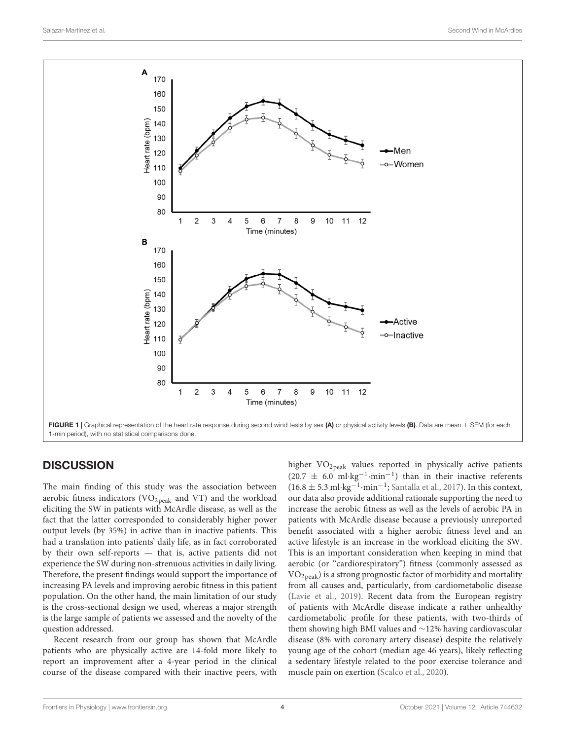

# <span id="page-3-0"></span>**DISCUSSION**

The main finding of this study was the association between aerobic fitness indicators (VO<sub>2peak</sub> and VT) and the workload eliciting the SW in patients with McArdle disease, as well as the fact that the latter corresponded to considerably higher power output levels (by 35%) in active than in inactive patients. This had a translation into patients' daily life, as in fact corroborated by their own self-reports — that is, active patients did not experience the SW during non-strenuous activities in daily living. Therefore, the present findings would support the importance of increasing PA levels and improving aerobic fitness in this patient population. On the other hand, the main limitation of our study is the cross-sectional design we used, whereas a major strength is the large sample of patients we assessed and the novelty of the question addressed.

Recent research from our group has shown that McArdle patients who are physically active are 14-fold more likely to report an improvement after a 4-year period in the clinical course of the disease compared with their inactive peers, with

higher VO<sub>2peak</sub> values reported in physically active patients  $(20.7 \pm 6.0 \text{ ml} \cdot \text{kg}^{-1} \cdot \text{min}^{-1})$  than in their inactive referents (16.8 ± 5.3 ml·kg<sup>-1</sup>·min<sup>-1</sup>; [Santalla et al.,](#page-6-3) [2017\)](#page-6-3). In this context, our data also provide additional rationale supporting the need to increase the aerobic fitness as well as the levels of aerobic PA in patients with McArdle disease because a previously unreported benefit associated with a higher aerobic fitness level and an active lifestyle is an increase in the workload eliciting the SW. This is an important consideration when keeping in mind that aerobic (or "cardiorespiratory") fitness (commonly assessed as  $VO<sub>2peak</sub>$ ) is a strong prognostic factor of morbidity and mortality from all causes and, particularly, from cardiometabolic disease [\(Lavie et al.,](#page-6-17) [2019\)](#page-6-17). Recent data from the European registry of patients with McArdle disease indicate a rather unhealthy cardiometabolic profile for these patients, with two-thirds of them showing high BMI values and ∼12% having cardiovascular disease (8% with coronary artery disease) despite the relatively young age of the cohort (median age 46 years), likely reflecting a sedentary lifestyle related to the poor exercise tolerance and muscle pain on exertion [\(Scalco et al.,](#page-6-4) [2020\)](#page-6-4).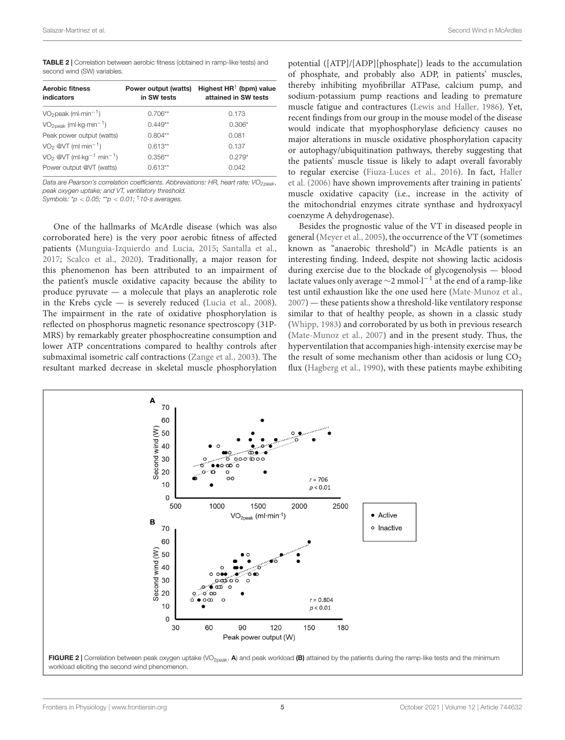<span id="page-4-0"></span>

| <b>TABLE 2</b>   Correlation between aerobic fitness (obtained in ramp-like tests) and |  |  |  |
|----------------------------------------------------------------------------------------|--|--|--|
| second wind (SW) variables.                                                            |  |  |  |

| <b>Aerobic fitness</b><br>indicators                       | Power output (watts)<br>in SW tests | Highest $HR^{\dagger}$ (bpm) value<br>attained in SW tests |
|------------------------------------------------------------|-------------------------------------|------------------------------------------------------------|
| $VO2$ peak (ml $\cdot$ min <sup>-1</sup> )                 | $0.706**$                           | 0.173                                                      |
| $VO2$ <sub>peak</sub> (ml·kg·min <sup>-1</sup> )           | $0.449**$                           | $0.306*$                                                   |
| Peak power output (watts)                                  | $0.804**$                           | 0.081                                                      |
| $VO2$ @VT (ml min <sup>-1</sup> )                          | $0.613**$                           | 0.137                                                      |
| $VO2$ @VT (ml $\cdot$ kg <sup>-1</sup> min <sup>-1</sup> ) | $0.356**$                           | $0.279*$                                                   |
| Power output @VT (watts)                                   | $0.613**$                           | 0.042                                                      |

Data are Pearson's correlation coefficients. Abbreviations: HR, heart rate;  $VO<sub>2</sub>$ <sub>neak</sub>, peak oxygen uptake; and VT, ventilatory threshold.

Symbols:  $np < 0.05$ ;  $\binom{*}{p} < 0.01$ ;  $\frac{†}{10}$ -s averages.

One of the hallmarks of McArdle disease (which was also corroborated here) is the very poor aerobic fitness of affected patients [\(Munguia-Izquierdo and Lucia,](#page-6-7) [2015;](#page-6-7) [Santalla et al.,](#page-6-3) [2017;](#page-6-3) [Scalco et al.,](#page-6-4) [2020\)](#page-6-4). Traditionally, a major reason for this phenomenon has been attributed to an impairment of the patient's muscle oxidative capacity because the ability to produce pyruvate — a molecule that plays an anaplerotic role in the Krebs cycle — is severely reduced [\(Lucia et al.,](#page-6-2) [2008\)](#page-6-2). The impairment in the rate of oxidative phosphorylation is reflected on phosphorus magnetic resonance spectroscopy (31P-MRS) by remarkably greater phosphocreatine consumption and lower ATP concentrations compared to healthy controls after submaximal isometric calf contractions [\(Zange et al.,](#page-6-18) [2003\)](#page-6-18). The resultant marked decrease in skeletal muscle phosphorylation

potential ([ATP]/[ADP][phosphate]) leads to the accumulation of phosphate, and probably also ADP, in patients' muscles, thereby inhibiting myofibrillar ATPase, calcium pump, and sodium-potassium pump reactions and leading to premature muscle fatigue and contractures [\(Lewis and Haller,](#page-6-19) [1986\)](#page-6-19). Yet, recent findings from our group in the mouse model of the disease would indicate that myophosphorylase deficiency causes no major alterations in muscle oxidative phosphorylation capacity or autophagy/ubiquitination pathways, thereby suggesting that the patients' muscle tissue is likely to adapt overall favorably to regular exercise [\(Fiuza-Luces et al.,](#page-6-20) [2016\)](#page-6-20). In fact, [Haller](#page-6-8) [et al.](#page-6-8) [\(2006\)](#page-6-8) have shown improvements after training in patients' muscle oxidative capacity (i.e., increase in the activity of the mitochondrial enzymes citrate synthase and hydroxyacyl coenzyme A dehydrogenase).

Besides the prognostic value of the VT in diseased people in general [\(Meyer et al.,](#page-6-21) [2005\)](#page-6-21), the occurrence of the VT (sometimes known as "anaerobic threshold") in McAdle patients is an interesting finding. Indeed, despite not showing lactic acidosis during exercise due to the blockade of glycogenolysis — blood lactate values only average ~2 mmol·l<sup>-1</sup> at the end of a ramp-like test until exhaustion like the one used here [\(Mate-Munoz et al.,](#page-6-9) [2007\)](#page-6-9) — these patients show a threshold-like ventilatory response similar to that of healthy people, as shown in a classic study [\(Whipp,](#page-6-22) [1983\)](#page-6-22) and corroborated by us both in previous research [\(Mate-Munoz et al.,](#page-6-9) [2007\)](#page-6-9) and in the present study. Thus, the hyperventilation that accompanies high-intensity exercise may be the result of some mechanism other than acidosis or lung  $CO<sub>2</sub>$ flux [\(Hagberg et al.,](#page-6-23) [1990\)](#page-6-23), with these patients maybe exhibiting

<span id="page-4-1"></span>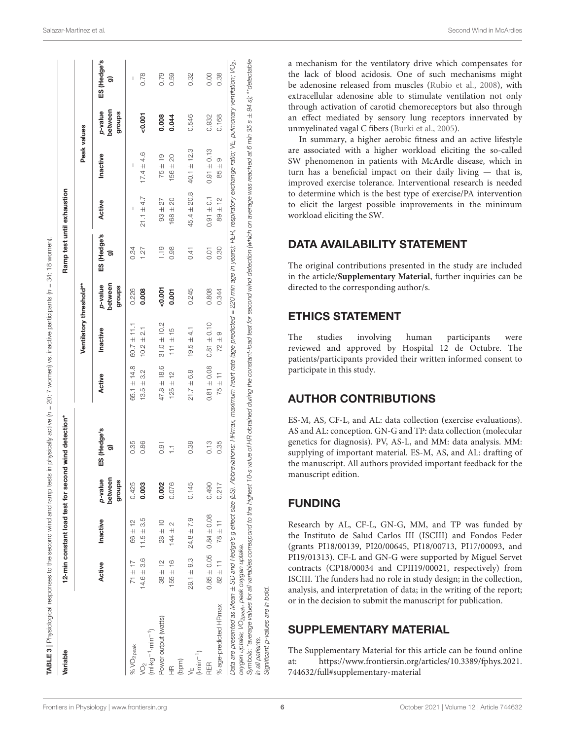| Variable                                                                                                                                                                                                                                                                                    |                                 |                |                              | 12-min constant load test for second wind detection*                                                                                                |                               |                         |                              |                   | Ramp test until exhaustion |                                             |                              |                   |
|---------------------------------------------------------------------------------------------------------------------------------------------------------------------------------------------------------------------------------------------------------------------------------------------|---------------------------------|----------------|------------------------------|-----------------------------------------------------------------------------------------------------------------------------------------------------|-------------------------------|-------------------------|------------------------------|-------------------|----------------------------|---------------------------------------------|------------------------------|-------------------|
|                                                                                                                                                                                                                                                                                             |                                 |                |                              |                                                                                                                                                     |                               | Ventilatory threshold** |                              |                   |                            | Peak values                                 |                              |                   |
|                                                                                                                                                                                                                                                                                             | Active                          | Inactive       | between<br>p-value<br>groups | ES (Hedge's<br>ಕಾ                                                                                                                                   | Active                        | Inactive                | between<br>p-value<br>groups | ES (Hedge's<br>ಕಾ | Active                     | Inactive                                    | between<br>p-value<br>groups | ES (Hedge's<br>ಕಾ |
| % $VO2$ peak                                                                                                                                                                                                                                                                                | $71 \pm 17$                     | $66 \pm 12$    | 0.425                        | 0.35                                                                                                                                                | $65.1 \pm 14.8$               | $60.7 \pm 11.1$         | 0.226                        | 0.34              | I                          | I                                           |                              | I                 |
| $(m! \cdot kg^{-1} \cdot min^{-1})$<br>$\sqrt{O_2}$                                                                                                                                                                                                                                         | $14.6 \pm 3.6$                  | $11.5 \pm 3.5$ | 0.003                        | 0.86                                                                                                                                                | 3.2<br>$\overline{+}$<br>13.5 | $10.2 \pm 2.1$          | 0.008                        | 1.27              | $21.1 \pm 4.7$             | $17.4 \pm 4.6$                              | $-0.001$                     | 0.78              |
| Power output (watts)                                                                                                                                                                                                                                                                        | $38 + 12$                       | $28 \pm 10$    | 0.002                        | 0.91                                                                                                                                                | $47.8 \pm 18.6$               | $31.0 \pm 10.2$         | $-0.001$                     | 1.19              | 27<br>$93 +$               | $75 \pm 19$                                 | 0.008                        | 0.79              |
| £                                                                                                                                                                                                                                                                                           | $155 \pm 16$                    | $144 \pm 2$    | 0.076                        | H                                                                                                                                                   | $125 \pm 12$                  | $111 \pm 15$            | 0.001                        | 0.98              | $168 + 20$                 | $156 \pm 20$                                | 0.044                        | 0.59              |
| (bpm)                                                                                                                                                                                                                                                                                       |                                 |                |                              |                                                                                                                                                     |                               |                         |                              |                   |                            |                                             |                              |                   |
| $(1 \cdot min^{-1})$<br>√<br>≻                                                                                                                                                                                                                                                              | $28.1 \pm 9.3$                  | $24.8 \pm 7.9$ | 0.145                        | 0.38                                                                                                                                                | $21.7 \pm 6.8$                | $19.5 \pm 4.1$          | 0.245                        | 0.41              | $45.4 \pm 20.8$            | $40.1 \pm 12.3$                             | 0.546                        | 0.32              |
| RER                                                                                                                                                                                                                                                                                         | $0.85 \pm 0.05$ 0.84 $\pm 0.08$ |                | 0.490                        | 0.13                                                                                                                                                | $0.81 \pm 0.08$               | $0.81 \pm 0.10$         | 0.808                        | $\overline{0}$ .  | $0.91 \pm 0.1$             | $0.91 \pm 0.13$                             | 0.932                        | 0.00              |
| % age-predicted HRmax                                                                                                                                                                                                                                                                       | $82 \pm 11$                     | $78 \pm 11$    | 0.217                        | 0.35                                                                                                                                                | $75 \pm 11$                   | $\frac{1}{2}$<br>.<br>2 | 0.344                        | 0.30              | $89 + 12$                  | $\infty$<br>$\overline{+}$<br>$\frac{1}{8}$ | 0.168                        | 0.38              |
| Data are presented as Mean ± SD and Hedge's g effect size (ES). Abbreviations: HRmax, maximum heart rate (age predicted = 220 min age in years); RER, respiratory exchange ratio; VE, pulmonary ventilation; VO <sub>2</sub> ,<br>oxygen uptake; VO <sub>2 peak</sub> , peak oxygen uptake. |                                 |                |                              |                                                                                                                                                     |                               |                         |                              |                   |                            |                                             |                              |                   |
| Symbols: *average values for all variables correspond to the highest<br>in all patients.                                                                                                                                                                                                    |                                 |                |                              | 10-s value of HR obtained during the constant-load test for second wind detection (which on average was reached at 6 min 35 s ± 94 s); **detectable |                               |                         |                              |                   |                            |                                             |                              |                   |
| Significant p-values are in bold.                                                                                                                                                                                                                                                           |                                 |                |                              |                                                                                                                                                     |                               |                         |                              |                   |                            |                                             |                              |                   |

In summary, a higher aerobic fitness and an active lifestyle are associated with a higher workload eliciting the so-called SW phenomenon in patients with McArdle disease, which in turn has a beneficial impact on their daily living — that is, improved exercise tolerance. Interventional research is needed to determine which is the best type of exercise/PA intervention to elicit the largest possible improvements in the minimum workload eliciting the SW.

# DATA AVAILABILITY STATEMENT

The original contributions presented in the study are included in the article/**[Supplementary Material](#page-5-0)**, further inquiries can be directed to the corresponding author/s.

# ETHICS STATEMENT

The studies involving human participants were reviewed and approved by Hospital 12 de Octubre. The patients/participants provided their written informed consent to participate in this study.

# AUTHOR CONTRIBUTIONS

ES-M, AS, CF-L, and AL: data collection (exercise evaluations). AS and AL: conception. GN-G and TP: data collection (molecular genetics for diagnosis). PV, AS-L, and MM: data analysis. MM: supplying of important material. ES-M, AS, and AL: drafting of the manuscript. All authors provided important feedback for the manuscript edition.

# FUNDING

Research by AL, CF-L, GN-G, MM, and TP was funded by the Instituto de Salud Carlos III (ISCIII) and Fondos Feder (grants PI18/00139, PI20/00645, PI18/00713, PI17/00093, and PI19/01313). CF-L and GN-G were supported by Miguel Servet contracts (CP18/00034 and CPII19/00021, respectively) from ISCIII. The funders had no role in study design; in the collection, analysis, and interpretation of data; in the writing of the report; or in the decision to submit the manuscript for publication.

# <span id="page-5-0"></span>SUPPLEMENTARY MATERIAL

<span id="page-5-1"></span>The Supplementary Material for this article can be found online at: [https://www.frontiersin.org/articles/10.3389/fphys.2021.](https://www.frontiersin.org/articles/10.3389/fphys.2021.744632/full#supplementary-material) [744632/full#supplementary-material](https://www.frontiersin.org/articles/10.3389/fphys.2021.744632/full#supplementary-material)